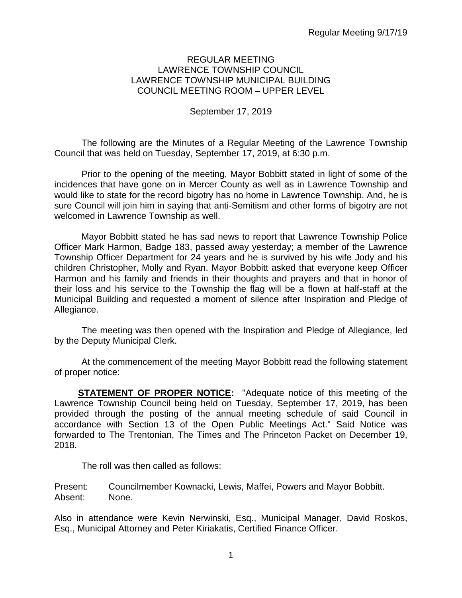### REGULAR MEETING LAWRENCE TOWNSHIP COUNCIL LAWRENCE TOWNSHIP MUNICIPAL BUILDING COUNCIL MEETING ROOM – UPPER LEVEL

## September 17, 2019

The following are the Minutes of a Regular Meeting of the Lawrence Township Council that was held on Tuesday, September 17, 2019, at 6:30 p.m.

Prior to the opening of the meeting, Mayor Bobbitt stated in light of some of the incidences that have gone on in Mercer County as well as in Lawrence Township and would like to state for the record bigotry has no home in Lawrence Township. And, he is sure Council will join him in saying that anti-Semitism and other forms of bigotry are not welcomed in Lawrence Township as well.

Mayor Bobbitt stated he has sad news to report that Lawrence Township Police Officer Mark Harmon, Badge 183, passed away yesterday; a member of the Lawrence Township Officer Department for 24 years and he is survived by his wife Jody and his children Christopher, Molly and Ryan. Mayor Bobbitt asked that everyone keep Officer Harmon and his family and friends in their thoughts and prayers and that in honor of their loss and his service to the Township the flag will be a flown at half-staff at the Municipal Building and requested a moment of silence after Inspiration and Pledge of Allegiance.

The meeting was then opened with the Inspiration and Pledge of Allegiance, led by the Deputy Municipal Clerk.

At the commencement of the meeting Mayor Bobbitt read the following statement of proper notice:

**STATEMENT OF PROPER NOTICE:** "Adequate notice of this meeting of the Lawrence Township Council being held on Tuesday, September 17, 2019, has been provided through the posting of the annual meeting schedule of said Council in accordance with Section 13 of the Open Public Meetings Act." Said Notice was forwarded to The Trentonian, The Times and The Princeton Packet on December 19, 2018.

The roll was then called as follows:

Present: Councilmember Kownacki, Lewis, Maffei, Powers and Mayor Bobbitt. Absent: None.

Also in attendance were Kevin Nerwinski, Esq., Municipal Manager, David Roskos, Esq., Municipal Attorney and Peter Kiriakatis, Certified Finance Officer.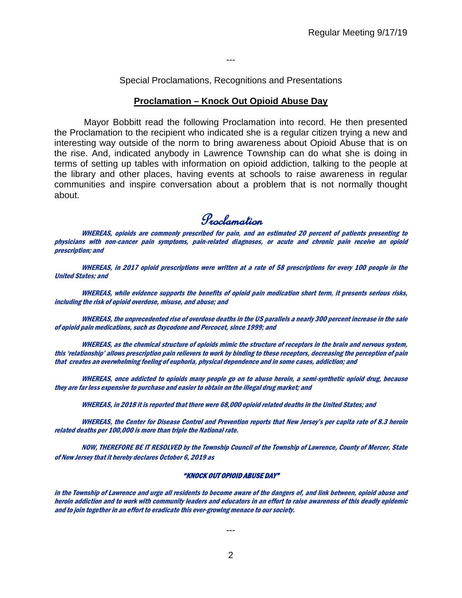---

Special Proclamations, Recognitions and Presentations

#### **Proclamation – Knock Out Opioid Abuse Day**

Mayor Bobbitt read the following Proclamation into record. He then presented the Proclamation to the recipient who indicated she is a regular citizen trying a new and interesting way outside of the norm to bring awareness about Opioid Abuse that is on the rise. And, indicated anybody in Lawrence Township can do what she is doing in terms of setting up tables with information on opioid addiction, talking to the people at the library and other places, having events at schools to raise awareness in regular communities and inspire conversation about a problem that is not normally thought about.

Proclamation

WHEREAS, opioids are commonly prescribed for pain, and an estimated 20 percent of patients presenting to physicians with non-cancer pain symptoms, pain-related diagnoses, or acute and chronic pain receive an opioid prescription; and

WHEREAS, in 2017 opioid prescriptions were written at a rate of 58 prescriptions for every 100 people in the United States; and

WHEREAS, while evidence supports the benefits of opioid pain medication short term, it presents serious risks, including the risk of opioid overdose, misuse, and abuse; and

WHEREAS, the unprecedented rise of overdose deaths in the US parallels a nearly 300 percent increase in the sale of opioid pain medications, such as Oxycodone and Percocet, since 1999; and

WHEREAS, as the chemical structure of opioids mimic the structure of receptors in the brain and nervous system, this 'relationship' allows prescription pain relievers to work by binding to these receptors, decreasing the perception of pain that creates an overwhelming feeling of euphoria, physical dependence and in some cases, addiction; and

WHEREAS, once addicted to opioids many people go on to abuse heroin, a semi-synthetic opioid drug, because they are far less expensive to purchase and easier to obtain on the illegal drug market; and

WHEREAS, in 2018 it is reported that there were 68,000 opioid related deaths in the United States; and

WHEREAS, the Center for Disease Control and Prevention reports that New Jersey's per capita rate of 8.3 heroin related deaths per 100,000 is more than triple the National rate.

NOW, THEREFORE BE IT RESOLVED by the Township Council of the Township of Lawrence, County of Mercer, State of New Jersey that it hereby declares October 6, 2019 as

#### "KNOCK OUT OPIOID ABUSE DAY"

in the Township of Lawrence and urge all residents to become aware of the dangers of, and link between, opioid abuse and heroin addiction and to work with community leaders and educators in an effort to raise awareness of this deadly epidemic and to join together in an effort to eradicate this ever-growing menace to our society.

2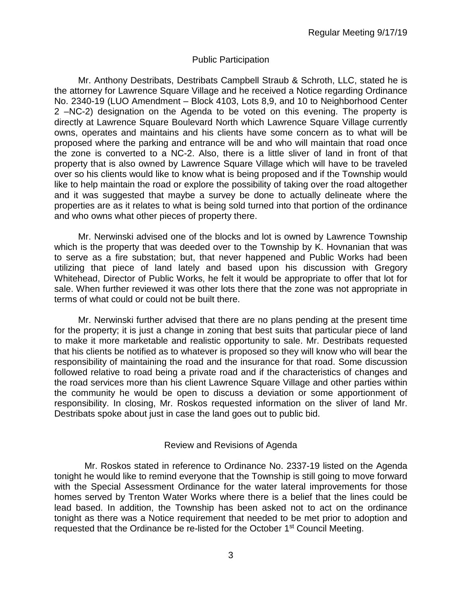## Public Participation

Mr. Anthony Destribats, Destribats Campbell Straub & Schroth, LLC, stated he is the attorney for Lawrence Square Village and he received a Notice regarding Ordinance No. 2340-19 (LUO Amendment – Block 4103, Lots 8,9, and 10 to Neighborhood Center 2 –NC-2) designation on the Agenda to be voted on this evening. The property is directly at Lawrence Square Boulevard North which Lawrence Square Village currently owns, operates and maintains and his clients have some concern as to what will be proposed where the parking and entrance will be and who will maintain that road once the zone is converted to a NC-2. Also, there is a little sliver of land in front of that property that is also owned by Lawrence Square Village which will have to be traveled over so his clients would like to know what is being proposed and if the Township would like to help maintain the road or explore the possibility of taking over the road altogether and it was suggested that maybe a survey be done to actually delineate where the properties are as it relates to what is being sold turned into that portion of the ordinance and who owns what other pieces of property there.

Mr. Nerwinski advised one of the blocks and lot is owned by Lawrence Township which is the property that was deeded over to the Township by K. Hovnanian that was to serve as a fire substation; but, that never happened and Public Works had been utilizing that piece of land lately and based upon his discussion with Gregory Whitehead, Director of Public Works, he felt it would be appropriate to offer that lot for sale. When further reviewed it was other lots there that the zone was not appropriate in terms of what could or could not be built there.

Mr. Nerwinski further advised that there are no plans pending at the present time for the property; it is just a change in zoning that best suits that particular piece of land to make it more marketable and realistic opportunity to sale. Mr. Destribats requested that his clients be notified as to whatever is proposed so they will know who will bear the responsibility of maintaining the road and the insurance for that road. Some discussion followed relative to road being a private road and if the characteristics of changes and the road services more than his client Lawrence Square Village and other parties within the community he would be open to discuss a deviation or some apportionment of responsibility. In closing, Mr. Roskos requested information on the sliver of land Mr. Destribats spoke about just in case the land goes out to public bid.

## Review and Revisions of Agenda

 Mr. Roskos stated in reference to Ordinance No. 2337-19 listed on the Agenda tonight he would like to remind everyone that the Township is still going to move forward with the Special Assessment Ordinance for the water lateral improvements for those homes served by Trenton Water Works where there is a belief that the lines could be lead based. In addition, the Township has been asked not to act on the ordinance tonight as there was a Notice requirement that needed to be met prior to adoption and requested that the Ordinance be re-listed for the October 1<sup>st</sup> Council Meeting.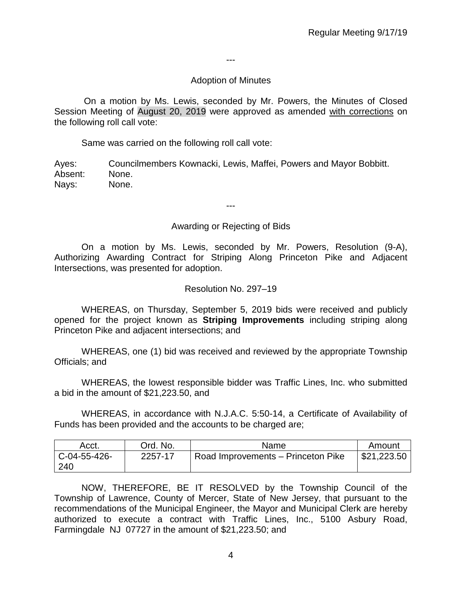---

## Adoption of Minutes

On a motion by Ms. Lewis, seconded by Mr. Powers, the Minutes of Closed Session Meeting of August 20, 2019 were approved as amended with corrections on the following roll call vote:

Same was carried on the following roll call vote:

Ayes: Councilmembers Kownacki, Lewis, Maffei, Powers and Mayor Bobbitt. Absent: None. Nays: None.

---

## Awarding or Rejecting of Bids

On a motion by Ms. Lewis, seconded by Mr. Powers, Resolution (9-A), Authorizing Awarding Contract for Striping Along Princeton Pike and Adjacent Intersections, was presented for adoption.

### Resolution No. 297–19

WHEREAS, on Thursday, September 5, 2019 bids were received and publicly opened for the project known as **Striping Improvements** including striping along Princeton Pike and adjacent intersections; and

WHEREAS, one (1) bid was received and reviewed by the appropriate Township Officials; and

WHEREAS, the lowest responsible bidder was Traffic Lines, Inc. who submitted a bid in the amount of \$21,223.50, and

WHEREAS, in accordance with N.J.A.C. 5:50-14, a Certificate of Availability of Funds has been provided and the accounts to be charged are;

| Acct.          | Ord. No. | Name                               | Amount      |
|----------------|----------|------------------------------------|-------------|
| $C-04-55-426-$ | 2257-17  | Road Improvements - Princeton Pike | \$21,223.50 |
| 240            |          |                                    |             |

NOW, THEREFORE, BE IT RESOLVED by the Township Council of the Township of Lawrence, County of Mercer, State of New Jersey, that pursuant to the recommendations of the Municipal Engineer, the Mayor and Municipal Clerk are hereby authorized to execute a contract with Traffic Lines, Inc., 5100 Asbury Road, Farmingdale NJ 07727 in the amount of \$21,223.50; and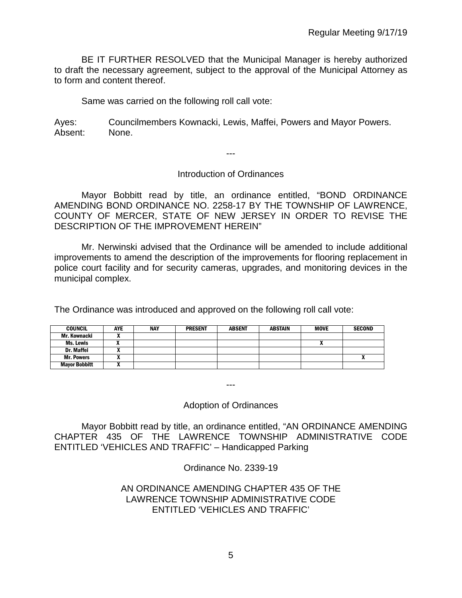BE IT FURTHER RESOLVED that the Municipal Manager is hereby authorized to draft the necessary agreement, subject to the approval of the Municipal Attorney as to form and content thereof.

Same was carried on the following roll call vote:

Ayes: Councilmembers Kownacki, Lewis, Maffei, Powers and Mayor Powers. Absent: None.

---

## Introduction of Ordinances

Mayor Bobbitt read by title, an ordinance entitled, "BOND ORDINANCE AMENDING BOND ORDINANCE NO. 2258-17 BY THE TOWNSHIP OF LAWRENCE, COUNTY OF MERCER, STATE OF NEW JERSEY IN ORDER TO REVISE THE DESCRIPTION OF THE IMPROVEMENT HEREIN"

Mr. Nerwinski advised that the Ordinance will be amended to include additional improvements to amend the description of the improvements for flooring replacement in police court facility and for security cameras, upgrades, and monitoring devices in the municipal complex.

The Ordinance was introduced and approved on the following roll call vote:

| <b>COUNCIL</b>       | AYE | <b>NAY</b> | <b>PRESENT</b> | <b>ABSENT</b> | <b>ABSTAIN</b> | <b>MOVE</b> | <b>SECOND</b> |
|----------------------|-----|------------|----------------|---------------|----------------|-------------|---------------|
| Mr. Kownacki         |     |            |                |               |                |             |               |
| Ms. Lewis            |     |            |                |               |                |             |               |
| Dr. Maffei           |     |            |                |               |                |             |               |
| <b>Mr. Powers</b>    | ,,  |            |                |               |                |             |               |
| <b>Mayor Bobbitt</b> |     |            |                |               |                |             |               |

Adoption of Ordinances

---

Mayor Bobbitt read by title, an ordinance entitled, "AN ORDINANCE AMENDING CHAPTER 435 OF THE LAWRENCE TOWNSHIP ADMINISTRATIVE CODE ENTITLED 'VEHICLES AND TRAFFIC' – Handicapped Parking

Ordinance No. 2339-19

## AN ORDINANCE AMENDING CHAPTER 435 OF THE LAWRENCE TOWNSHIP ADMINISTRATIVE CODE ENTITLED 'VEHICLES AND TRAFFIC'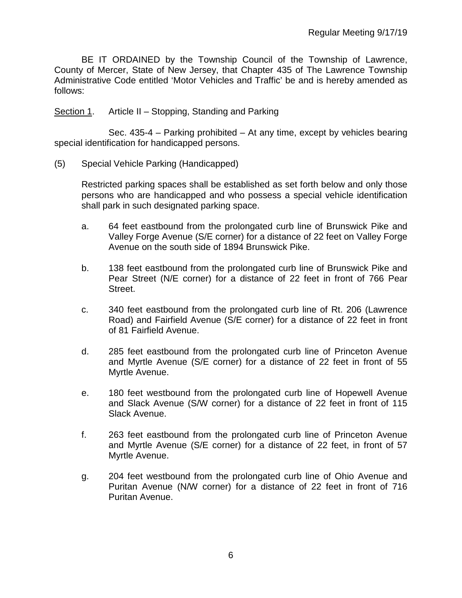BE IT ORDAINED by the Township Council of the Township of Lawrence, County of Mercer, State of New Jersey, that Chapter 435 of The Lawrence Township Administrative Code entitled 'Motor Vehicles and Traffic' be and is hereby amended as follows:

Section 1. Article II – Stopping, Standing and Parking

Sec. 435-4 – Parking prohibited – At any time, except by vehicles bearing special identification for handicapped persons.

(5) Special Vehicle Parking (Handicapped)

Restricted parking spaces shall be established as set forth below and only those persons who are handicapped and who possess a special vehicle identification shall park in such designated parking space.

- a. 64 feet eastbound from the prolongated curb line of Brunswick Pike and Valley Forge Avenue (S/E corner) for a distance of 22 feet on Valley Forge Avenue on the south side of 1894 Brunswick Pike.
- b. 138 feet eastbound from the prolongated curb line of Brunswick Pike and Pear Street (N/E corner) for a distance of 22 feet in front of 766 Pear Street.
- c. 340 feet eastbound from the prolongated curb line of Rt. 206 (Lawrence Road) and Fairfield Avenue (S/E corner) for a distance of 22 feet in front of 81 Fairfield Avenue.
- d. 285 feet eastbound from the prolongated curb line of Princeton Avenue and Myrtle Avenue (S/E corner) for a distance of 22 feet in front of 55 Myrtle Avenue.
- e. 180 feet westbound from the prolongated curb line of Hopewell Avenue and Slack Avenue (S/W corner) for a distance of 22 feet in front of 115 Slack Avenue.
- f. 263 feet eastbound from the prolongated curb line of Princeton Avenue and Myrtle Avenue (S/E corner) for a distance of 22 feet, in front of 57 Myrtle Avenue.
- g. 204 feet westbound from the prolongated curb line of Ohio Avenue and Puritan Avenue (N/W corner) for a distance of 22 feet in front of 716 Puritan Avenue.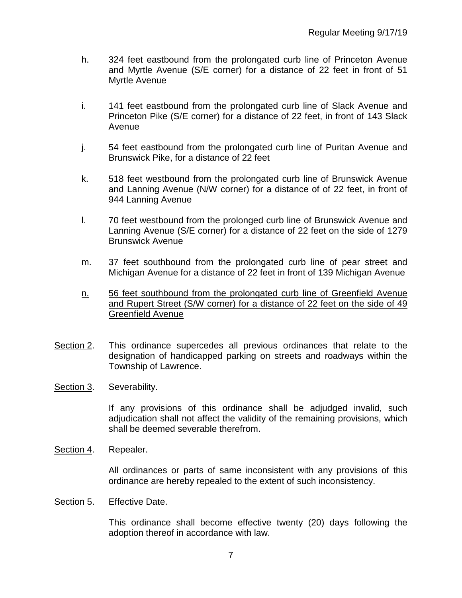- h. 324 feet eastbound from the prolongated curb line of Princeton Avenue and Myrtle Avenue (S/E corner) for a distance of 22 feet in front of 51 Myrtle Avenue
- i. 141 feet eastbound from the prolongated curb line of Slack Avenue and Princeton Pike (S/E corner) for a distance of 22 feet, in front of 143 Slack Avenue
- j. 54 feet eastbound from the prolongated curb line of Puritan Avenue and Brunswick Pike, for a distance of 22 feet
- k. 518 feet westbound from the prolongated curb line of Brunswick Avenue and Lanning Avenue (N/W corner) for a distance of of 22 feet, in front of 944 Lanning Avenue
- l. 70 feet westbound from the prolonged curb line of Brunswick Avenue and Lanning Avenue (S/E corner) for a distance of 22 feet on the side of 1279 Brunswick Avenue
- m. 37 feet southbound from the prolongated curb line of pear street and Michigan Avenue for a distance of 22 feet in front of 139 Michigan Avenue
- n. 56 feet southbound from the prolongated curb line of Greenfield Avenue and Rupert Street (S/W corner) for a distance of 22 feet on the side of 49 Greenfield Avenue
- Section 2. This ordinance supercedes all previous ordinances that relate to the designation of handicapped parking on streets and roadways within the Township of Lawrence.
- Section 3. Severability.

If any provisions of this ordinance shall be adjudged invalid, such adjudication shall not affect the validity of the remaining provisions, which shall be deemed severable therefrom.

Section 4. Repealer.

All ordinances or parts of same inconsistent with any provisions of this ordinance are hereby repealed to the extent of such inconsistency.

Section 5. Effective Date.

This ordinance shall become effective twenty (20) days following the adoption thereof in accordance with law.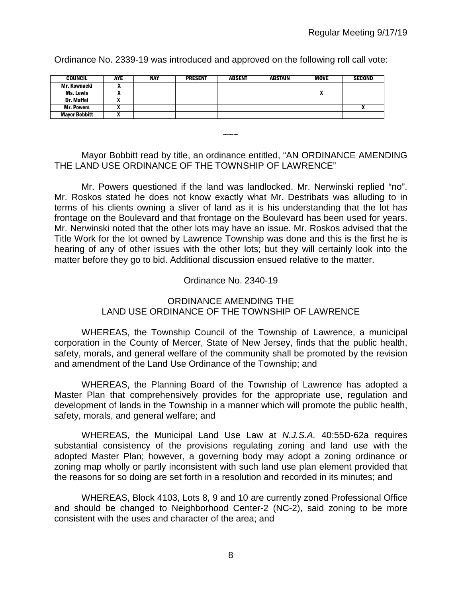COUNCIL | AYE | NAY | PRESENT | ABSENT | ABSTAIN | MOVE | SECOND Mr. Kownacki X Ms. Lewis | X | | | | | | | | | X Dr. Maffei X Mr. Powers | X | | | | | | | | | | | X Mayor Bobbitt X

Ordinance No. 2339-19 was introduced and approved on the following roll call vote:

## Mayor Bobbitt read by title, an ordinance entitled, "AN ORDINANCE AMENDING THE LAND USE ORDINANCE OF THE TOWNSHIP OF LAWRENCE"

 $\sim$   $\sim$   $\sim$ 

Mr. Powers questioned if the land was landlocked. Mr. Nerwinski replied "no". Mr. Roskos stated he does not know exactly what Mr. Destribats was alluding to in terms of his clients owning a sliver of land as it is his understanding that the lot has frontage on the Boulevard and that frontage on the Boulevard has been used for years. Mr. Nerwinski noted that the other lots may have an issue. Mr. Roskos advised that the Title Work for the lot owned by Lawrence Township was done and this is the first he is hearing of any of other issues with the other lots; but they will certainly look into the matter before they go to bid. Additional discussion ensued relative to the matter.

## Ordinance No. 2340-19

## ORDINANCE AMENDING THE LAND USE ORDINANCE OF THE TOWNSHIP OF LAWRENCE

WHEREAS, the Township Council of the Township of Lawrence, a municipal corporation in the County of Mercer, State of New Jersey, finds that the public health, safety, morals, and general welfare of the community shall be promoted by the revision and amendment of the Land Use Ordinance of the Township; and

 WHEREAS, the Planning Board of the Township of Lawrence has adopted a Master Plan that comprehensively provides for the appropriate use, regulation and development of lands in the Township in a manner which will promote the public health, safety, morals, and general welfare; and

WHEREAS, the Municipal Land Use Law at *N.J.S.A.* 40:55D-62a requires substantial consistency of the provisions regulating zoning and land use with the adopted Master Plan; however, a governing body may adopt a zoning ordinance or zoning map wholly or partly inconsistent with such land use plan element provided that the reasons for so doing are set forth in a resolution and recorded in its minutes; and

WHEREAS, Block 4103, Lots 8, 9 and 10 are currently zoned Professional Office and should be changed to Neighborhood Center-2 (NC-2), said zoning to be more consistent with the uses and character of the area; and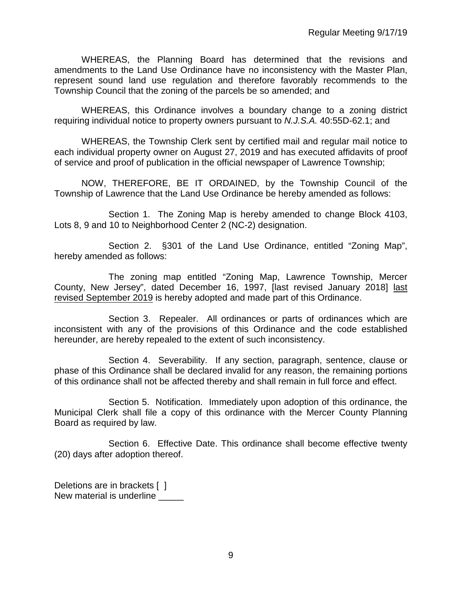WHEREAS, the Planning Board has determined that the revisions and amendments to the Land Use Ordinance have no inconsistency with the Master Plan, represent sound land use regulation and therefore favorably recommends to the Township Council that the zoning of the parcels be so amended; and

WHEREAS, this Ordinance involves a boundary change to a zoning district requiring individual notice to property owners pursuant to *N.J.S.A.* 40:55D-62.1; and

WHEREAS, the Township Clerk sent by certified mail and regular mail notice to each individual property owner on August 27, 2019 and has executed affidavits of proof of service and proof of publication in the official newspaper of Lawrence Township;

NOW, THEREFORE, BE IT ORDAINED, by the Township Council of the Township of Lawrence that the Land Use Ordinance be hereby amended as follows:

Section 1.The Zoning Map is hereby amended to change Block 4103, Lots 8, 9 and 10 to Neighborhood Center 2 (NC-2) designation.

Section 2. §301 of the Land Use Ordinance, entitled "Zoning Map", hereby amended as follows:

The zoning map entitled "Zoning Map, Lawrence Township, Mercer County, New Jersey", dated December 16, 1997, [last revised January 2018] last revised September 2019 is hereby adopted and made part of this Ordinance.

Section 3. Repealer. All ordinances or parts of ordinances which are inconsistent with any of the provisions of this Ordinance and the code established hereunder, are hereby repealed to the extent of such inconsistency.

Section 4. Severability. If any section, paragraph, sentence, clause or phase of this Ordinance shall be declared invalid for any reason, the remaining portions of this ordinance shall not be affected thereby and shall remain in full force and effect.

Section 5. Notification. Immediately upon adoption of this ordinance, the Municipal Clerk shall file a copy of this ordinance with the Mercer County Planning Board as required by law.

Section 6. Effective Date. This ordinance shall become effective twenty (20) days after adoption thereof.

Deletions are in brackets [ ] New material is underline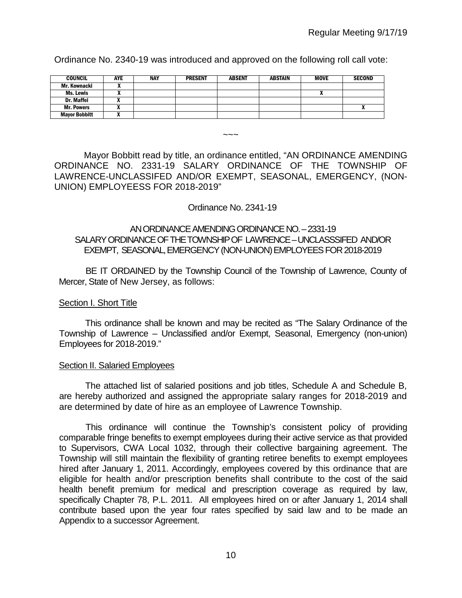Ordinance No. 2340-19 was introduced and approved on the following roll call vote:

| <b>COUNCIL</b>       | <b>AYE</b> | <b>NAY</b> | <b>PRESENT</b> | <b>ABSENT</b> | ABSTAIN | MOVE | <b>SECOND</b> |
|----------------------|------------|------------|----------------|---------------|---------|------|---------------|
| Mr. Kownacki         |            |            |                |               |         |      |               |
| <b>Ms. Lewis</b>     |            |            |                |               |         | n    |               |
| Dr. Maffei           |            |            |                |               |         |      |               |
| <b>Mr. Powers</b>    |            |            |                |               |         |      |               |
| <b>Mayor Bobbitt</b> |            |            |                |               |         |      |               |

 $\sim\sim\sim$ 

Mayor Bobbitt read by title, an ordinance entitled, "AN ORDINANCE AMENDING ORDINANCE NO. 2331-19 SALARY ORDINANCE OF THE TOWNSHIP OF LAWRENCE-UNCLASSIFED AND/OR EXEMPT, SEASONAL, EMERGENCY, (NON-UNION) EMPLOYEESS FOR 2018-2019"

### Ordinance No. 2341-19

## AN ORDINANCE AMENDING ORDINANCE NO. –2331-19 SALARY ORDINANCE OF THE TOWNSHIP OF LAWRENCE –UNCLASSSIFED AND/OR EXEMPT, SEASONAL,EMERGENCY (NON-UNION) EMPLOYEES FOR 2018-2019

BE IT ORDAINED by the Township Council of the Township of Lawrence, County of Mercer, State of New Jersey, as follows:

## Section I. Short Title

This ordinance shall be known and may be recited as "The Salary Ordinance of the Township of Lawrence – Unclassified and/or Exempt, Seasonal, Emergency (non-union) Employees for 2018-2019."

#### Section II. Salaried Employees

The attached list of salaried positions and job titles, Schedule A and Schedule B, are hereby authorized and assigned the appropriate salary ranges for 2018-2019 and are determined by date of hire as an employee of Lawrence Township.

This ordinance will continue the Township's consistent policy of providing comparable fringe benefits to exempt employees during their active service as that provided to Supervisors, CWA Local 1032, through their collective bargaining agreement. The Township will still maintain the flexibility of granting retiree benefits to exempt employees hired after January 1, 2011. Accordingly, employees covered by this ordinance that are eligible for health and/or prescription benefits shall contribute to the cost of the said health benefit premium for medical and prescription coverage as required by law, specifically Chapter 78, P.L. 2011. All employees hired on or after January 1, 2014 shall contribute based upon the year four rates specified by said law and to be made an Appendix to a successor Agreement.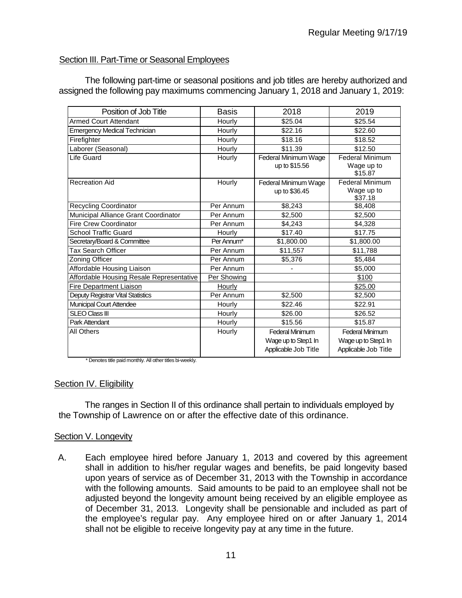## Section III. Part-Time or Seasonal Employees

The following part-time or seasonal positions and job titles are hereby authorized and assigned the following pay maximums commencing January 1, 2018 and January 1, 2019:

| Position of Job Title                           | <b>Basis</b> | 2018                   | 2019                   |
|-------------------------------------------------|--------------|------------------------|------------------------|
| <b>Armed Court Attendant</b>                    | Hourly       | \$25.04                | \$25.54                |
| <b>Emergency Medical Technician</b>             | Hourly       | \$22.16                | \$22.60                |
| Firefighter                                     | Hourly       | \$18.16                | \$18.52                |
| Laborer (Seasonal)                              | Hourly       | \$11.39                | \$12.50                |
| Life Guard                                      | Hourly       | Federal Minimum Wage   | <b>Federal Minimum</b> |
|                                                 |              | up to \$15.56          | Wage up to             |
|                                                 |              |                        | \$15.87                |
| <b>Recreation Aid</b>                           | Hourly       | Federal Minimum Wage   | <b>Federal Minimum</b> |
|                                                 |              | up to \$36.45          | Wage up to<br>\$37.18  |
| Recycling Coordinator                           | Per Annum    | \$8,243                | \$8,408                |
| Municipal Alliance Grant Coordinator            | Per Annum    | \$2,500                | \$2,500                |
| <b>Fire Crew Coordinator</b>                    | Per Annum    | \$4,243                | \$4,328                |
| <b>School Traffic Guard</b>                     | Hourly       | \$17.40                | \$17.75                |
| Secretary/Board & Committee                     | Per Annum*   | \$1,800.00             | \$1,800.00             |
| <b>Tax Search Officer</b>                       | Per Annum    | \$11,557               | \$11,788               |
| Zoning Officer                                  | Per Annum    | \$5,376                | \$5.484                |
| Affordable Housing Liaison                      | Per Annum    |                        | \$5,000                |
| <b>Affordable Housing Resale Representative</b> | Per Showing  |                        | \$100                  |
| <b>Fire Department Liaison</b>                  | Hourly       |                        | \$25.00                |
| Deputy Registrar Vital Statistics               | Per Annum    | \$2,500                | \$2,500                |
| Municipal Court Attendee                        | Hourly       | \$22.46                | \$22.91                |
| <b>SLEO Class III</b>                           | Hourly       | \$26.00                | \$26.52                |
| Park Attendant                                  | Hourly       | \$15.56                | \$15.87                |
| All Others                                      | Hourly       | <b>Federal Minimum</b> | Federal Minimum        |
|                                                 |              | Wage up to Step1 In    | Wage up to Step1 In    |
|                                                 |              | Applicable Job Title   | Applicable Job Title   |
|                                                 |              |                        |                        |

\* Denotes title paid monthly. All other titles bi-weekly.

#### Section IV. Eligibility

The ranges in Section II of this ordinance shall pertain to individuals employed by the Township of Lawrence on or after the effective date of this ordinance.

#### Section V. Longevity

A. Each employee hired before January 1, 2013 and covered by this agreement shall in addition to his/her regular wages and benefits, be paid longevity based upon years of service as of December 31, 2013 with the Township in accordance with the following amounts. Said amounts to be paid to an employee shall not be adjusted beyond the longevity amount being received by an eligible employee as of December 31, 2013. Longevity shall be pensionable and included as part of the employee's regular pay. Any employee hired on or after January 1, 2014 shall not be eligible to receive longevity pay at any time in the future.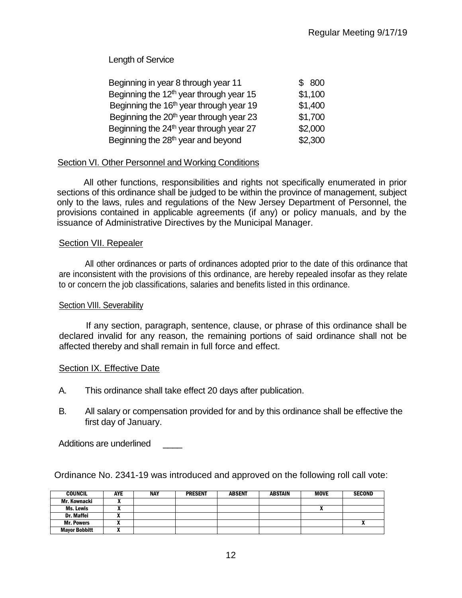Length of Service

| Beginning in year 8 through year 11                 | \$800   |
|-----------------------------------------------------|---------|
| Beginning the $12th$ year through year 15           | \$1,100 |
| Beginning the 16 <sup>th</sup> year through year 19 | \$1,400 |
| Beginning the 20 <sup>th</sup> year through year 23 | \$1,700 |
| Beginning the $24th$ year through year 27           | \$2,000 |
| Beginning the 28 <sup>th</sup> year and beyond      | \$2,300 |

## Section VI. Other Personnel and Working Conditions

All other functions, responsibilities and rights not specifically enumerated in prior sections of this ordinance shall be judged to be within the province of management, subject only to the laws, rules and regulations of the New Jersey Department of Personnel, the provisions contained in applicable agreements (if any) or policy manuals, and by the issuance of Administrative Directives by the Municipal Manager.

### Section VII. Repealer

All other ordinances or parts of ordinances adopted prior to the date of this ordinance that are inconsistent with the provisions of this ordinance, are hereby repealed insofar as they relate to or concern the job classifications, salaries and benefits listed in this ordinance.

## Section VIII. Severability

If any section, paragraph, sentence, clause, or phrase of this ordinance shall be declared invalid for any reason, the remaining portions of said ordinance shall not be affected thereby and shall remain in full force and effect.

## **Section IX. Effective Date**

- A. This ordinance shall take effect 20 days after publication.
- B. All salary or compensation provided for and by this ordinance shall be effective the first day of January.

Additions are underlined

Ordinance No. 2341-19 was introduced and approved on the following roll call vote:

| <b>COUNCIL</b>       | <b>AYE</b> | <b>NAY</b> | <b>PRESENT</b> | <b>ABSENT</b> | <b>ABSTAIN</b> | MOVE | <b>SECOND</b> |
|----------------------|------------|------------|----------------|---------------|----------------|------|---------------|
| Mr. Kownacki         | "          |            |                |               |                |      |               |
| Ms. Lewis            |            |            |                |               |                | n    |               |
| Dr. Maffei           |            |            |                |               |                |      |               |
| <b>Mr. Powers</b>    | . .        |            |                |               |                |      |               |
| <b>Mayor Bobbitt</b> | "          |            |                |               |                |      |               |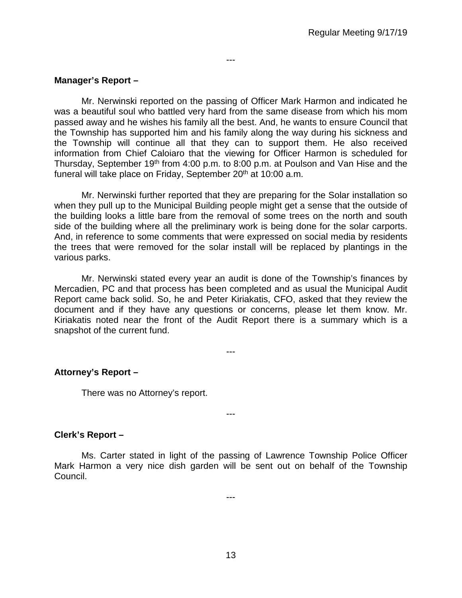## **Manager's Report –**

Mr. Nerwinski reported on the passing of Officer Mark Harmon and indicated he was a beautiful soul who battled very hard from the same disease from which his mom passed away and he wishes his family all the best. And, he wants to ensure Council that the Township has supported him and his family along the way during his sickness and the Township will continue all that they can to support them. He also received information from Chief Caloiaro that the viewing for Officer Harmon is scheduled for Thursday, September 19th from 4:00 p.m. to 8:00 p.m. at Poulson and Van Hise and the funeral will take place on Friday, September 20<sup>th</sup> at 10:00 a.m.

---

Mr. Nerwinski further reported that they are preparing for the Solar installation so when they pull up to the Municipal Building people might get a sense that the outside of the building looks a little bare from the removal of some trees on the north and south side of the building where all the preliminary work is being done for the solar carports. And, in reference to some comments that were expressed on social media by residents the trees that were removed for the solar install will be replaced by plantings in the various parks.

Mr. Nerwinski stated every year an audit is done of the Township's finances by Mercadien, PC and that process has been completed and as usual the Municipal Audit Report came back solid. So, he and Peter Kiriakatis, CFO, asked that they review the document and if they have any questions or concerns, please let them know. Mr. Kiriakatis noted near the front of the Audit Report there is a summary which is a snapshot of the current fund.

---

**Attorney's Report –**

There was no Attorney's report.

#### **Clerk's Report –**

Ms. Carter stated in light of the passing of Lawrence Township Police Officer Mark Harmon a very nice dish garden will be sent out on behalf of the Township Council.

---

---

13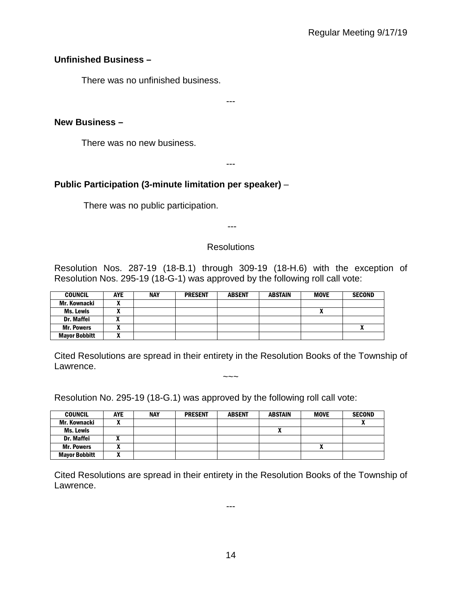## **Unfinished Business –**

There was no unfinished business.

---

## **New Business –**

There was no new business.

---

# **Public Participation (3-minute limitation per speaker)** –

There was no public participation.

---

## **Resolutions**

Resolution Nos. 287-19 (18-B.1) through 309-19 (18-H.6) with the exception of Resolution Nos. 295-19 (18-G-1) was approved by the following roll call vote:

| <b>COUNCIL</b>       | <b>AYE</b> | <b>NAY</b> | <b>PRESENT</b> | <b>ABSENT</b> | <b>ABSTAIN</b> | <b>MOVE</b> | <b>SECOND</b> |
|----------------------|------------|------------|----------------|---------------|----------------|-------------|---------------|
| Mr. Kownacki         |            |            |                |               |                |             |               |
| Ms. Lewis            |            |            |                |               |                |             |               |
| Dr. Maffei           |            |            |                |               |                |             |               |
| <b>Mr. Powers</b>    | ^          |            |                |               |                |             |               |
| <b>Mayor Bobbitt</b> | ~          |            |                |               |                |             |               |

Cited Resolutions are spread in their entirety in the Resolution Books of the Township of Lawrence.  $\sim\sim\sim$ 

Resolution No. 295-19 (18-G.1) was approved by the following roll call vote:

| <b>COUNCIL</b>       | <b>AYE</b> | <b>NAY</b> | <b>PRESENT</b> | <b>ABSENT</b> | <b>ABSTAIN</b> | <b>MOVE</b> | <b>SECOND</b> |
|----------------------|------------|------------|----------------|---------------|----------------|-------------|---------------|
| Mr. Kownacki         |            |            |                |               |                |             |               |
| Ms. Lewis            |            |            |                |               |                |             |               |
| <b>Dr. Maffei</b>    |            |            |                |               |                |             |               |
| <b>Mr. Powers</b>    |            |            |                |               |                | ~           |               |
| <b>Mayor Bobbitt</b> |            |            |                |               |                |             |               |

Cited Resolutions are spread in their entirety in the Resolution Books of the Township of Lawrence.

---